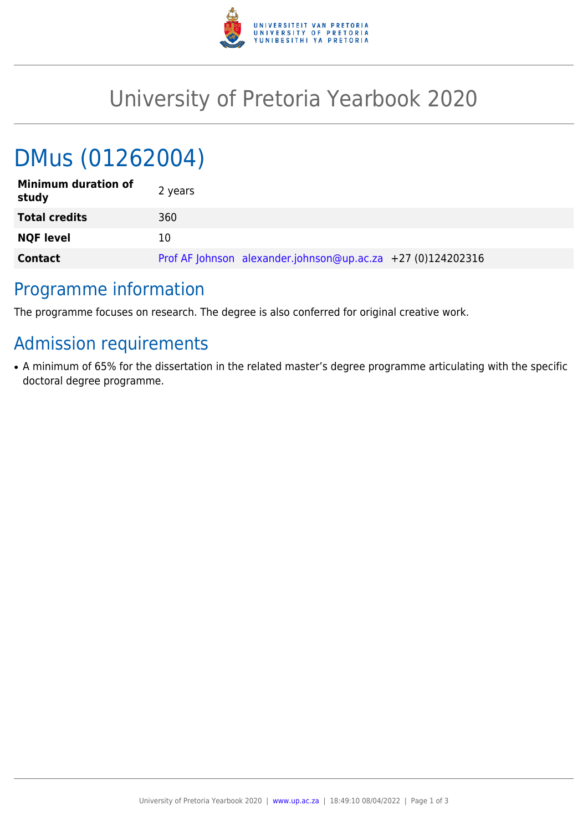

## University of Pretoria Yearbook 2020

# DMus (01262004)

| <b>Minimum duration of</b><br>study | 2 years                                                     |
|-------------------------------------|-------------------------------------------------------------|
| <b>Total credits</b>                | 360                                                         |
| <b>NQF level</b>                    | 10                                                          |
| <b>Contact</b>                      | Prof AF Johnson alexander.johnson@up.ac.za +27 (0)124202316 |

#### Programme information

The programme focuses on research. The degree is also conferred for original creative work.

## Admission requirements

• A minimum of 65% for the dissertation in the related master's degree programme articulating with the specific doctoral degree programme.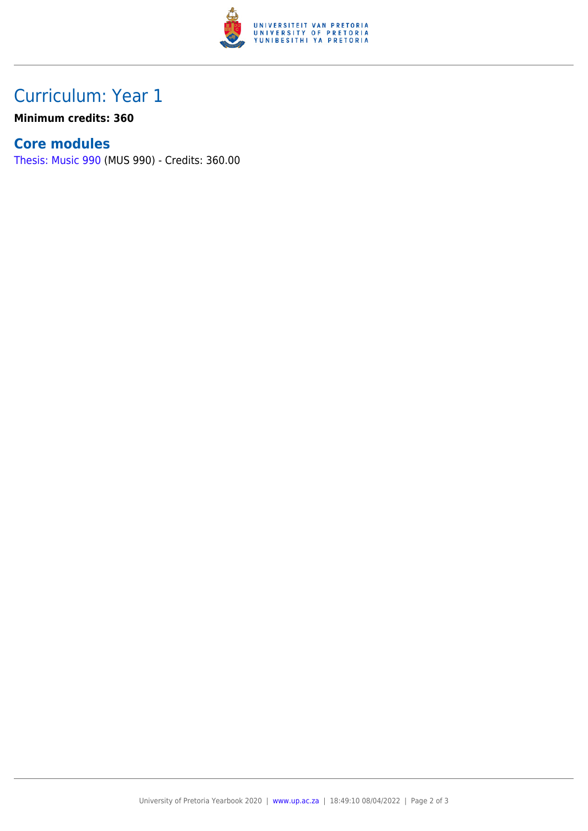

### Curriculum: Year 1

**Minimum credits: 360**

#### **Core modules**

[Thesis: Music 990](https://www.up.ac.za/faculty-of-education/yearbooks/2020/modules/view/MUS 990) (MUS 990) - Credits: 360.00